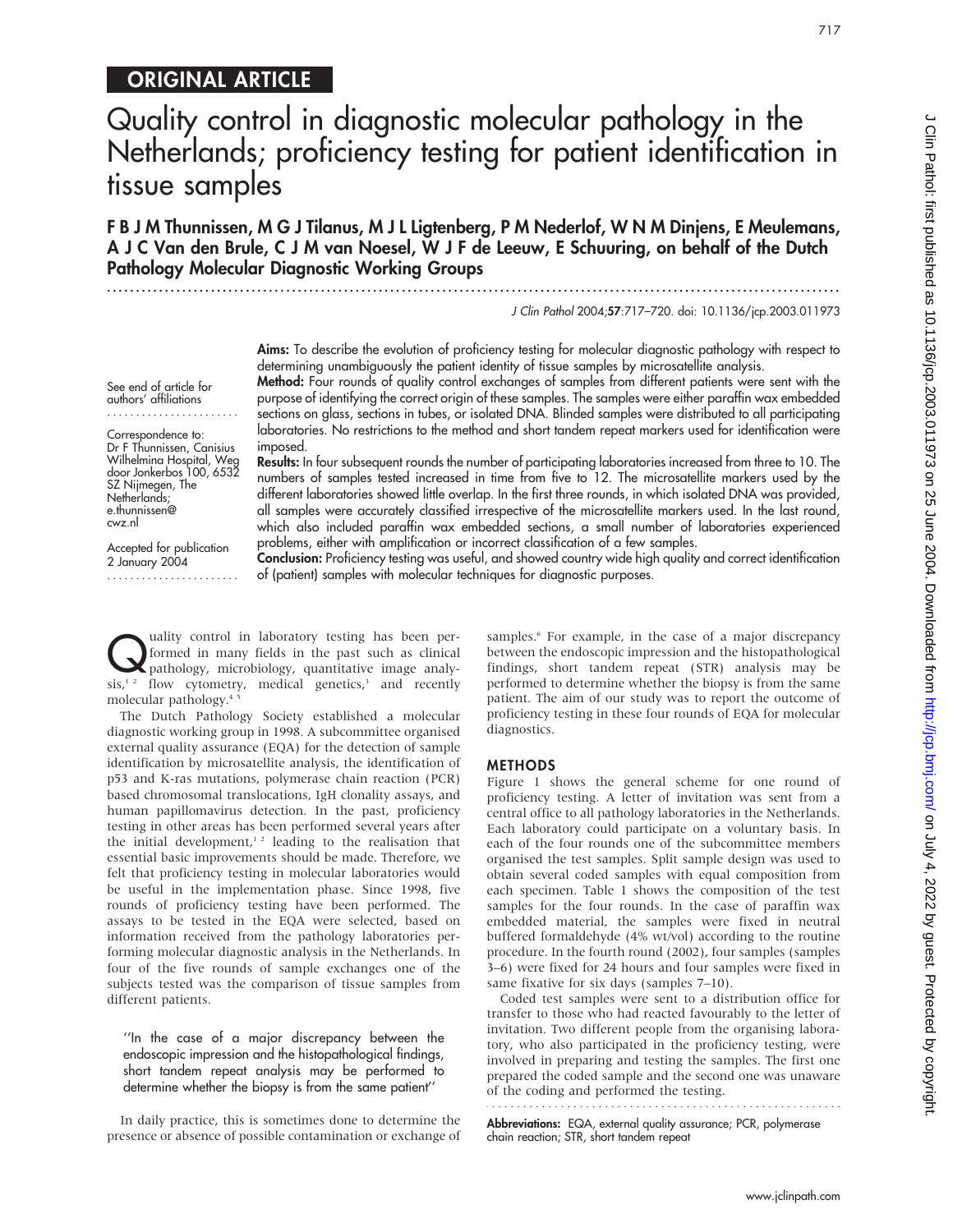# ORIGINAL ARTICLE

# Quality control in diagnostic molecular pathology in the Netherlands; proficiency testing for patient identification in tissue samples

F B J M Thunnissen, M G J Tilanus, M J L Ligtenberg, P M Nederlof, W N M Dinjens, E Meulemans, A J C Van den Brule, C J M van Noesel, W J F de Leeuw, E Schuuring, on behalf of the Dutch Pathology Molecular Diagnostic Working Groups

...............................................................................................................................

J Clin Pathol 2004;57:717–720. doi: 10.1136/jcp.2003.011973

Aims: To describe the evolution of proficiency testing for molecular diagnostic pathology with respect to determining unambiguously the patient identity of tissue samples by microsatellite analysis.

See end of article for authors' affiliations .......................

Correspondence to: Dr F Thunnissen, Canisius Wilhelmina Hospital, Weg door Jonkerbos 100, 6532 SZ Nijmegen, The Netherlands; e.thunnissen@ cwz.nl

Accepted for publication 2 January 2004 ....................... Method: Four rounds of quality control exchanges of samples from different patients were sent with the purpose of identifying the correct origin of these samples. The samples were either paraffin wax embedded sections on glass, sections in tubes, or isolated DNA. Blinded samples were distributed to all participating laboratories. No restrictions to the method and short tandem repeat markers used for identification were imposed.

Results: In four subsequent rounds the number of participating laboratories increased from three to 10. The numbers of samples tested increased in time from five to 12. The microsatellite markers used by the different laboratories showed little overlap. In the first three rounds, in which isolated DNA was provided, all samples were accurately classified irrespective of the microsatellite markers used. In the last round, which also included paraffin wax embedded sections, a small number of laboratories experienced problems, either with amplification or incorrect classification of a few samples.

Conclusion: Proficiency testing was useful, and showed country wide high quality and correct identification of (patient) samples with molecular techniques for diagnostic purposes.

Quality control in laboratory testing has been per-<br>formed in many fields in the past such as clinical<br>pathology, microbiology, quantitative image analy-<br>sised flow are modical sensities and research formed in many fields in the past such as clinical  $sis<sup>12</sup>$  flow cytometry, medical genetics,<sup>3</sup> and recently molecular pathology.4 5

The Dutch Pathology Society established a molecular diagnostic working group in 1998. A subcommittee organised external quality assurance (EQA) for the detection of sample identification by microsatellite analysis, the identification of p53 and K-ras mutations, polymerase chain reaction (PCR) based chromosomal translocations, IgH clonality assays, and human papillomavirus detection. In the past, proficiency testing in other areas has been performed several years after the initial development, $12$  leading to the realisation that essential basic improvements should be made. Therefore, we felt that proficiency testing in molecular laboratories would be useful in the implementation phase. Since 1998, five rounds of proficiency testing have been performed. The assays to be tested in the EQA were selected, based on information received from the pathology laboratories performing molecular diagnostic analysis in the Netherlands. In four of the five rounds of sample exchanges one of the subjects tested was the comparison of tissue samples from different patients.

''In the case of a major discrepancy between the endoscopic impression and the histopathological findings, short tandem repeat analysis may be performed to determine whether the biopsy is from the same patient''

In daily practice, this is sometimes done to determine the presence or absence of possible contamination or exchange of samples.<sup>6</sup> For example, in the case of a major discrepancy between the endoscopic impression and the histopathological findings, short tandem repeat (STR) analysis may be performed to determine whether the biopsy is from the same patient. The aim of our study was to report the outcome of proficiency testing in these four rounds of EQA for molecular diagnostics.

#### METHODS

Figure 1 shows the general scheme for one round of proficiency testing. A letter of invitation was sent from a central office to all pathology laboratories in the Netherlands. Each laboratory could participate on a voluntary basis. In each of the four rounds one of the subcommittee members organised the test samples. Split sample design was used to obtain several coded samples with equal composition from each specimen. Table 1 shows the composition of the test samples for the four rounds. In the case of paraffin wax embedded material, the samples were fixed in neutral buffered formaldehyde (4% wt/vol) according to the routine procedure. In the fourth round (2002), four samples (samples 3–6) were fixed for 24 hours and four samples were fixed in same fixative for six days (samples 7–10).

Coded test samples were sent to a distribution office for transfer to those who had reacted favourably to the letter of invitation. Two different people from the organising laboratory, who also participated in the proficiency testing, were involved in preparing and testing the samples. The first one prepared the coded sample and the second one was unaware of the coding and performed the testing.

Abbreviations: EQA, external quality assurance; PCR, polymerase chain reaction; STR, short tandem repeat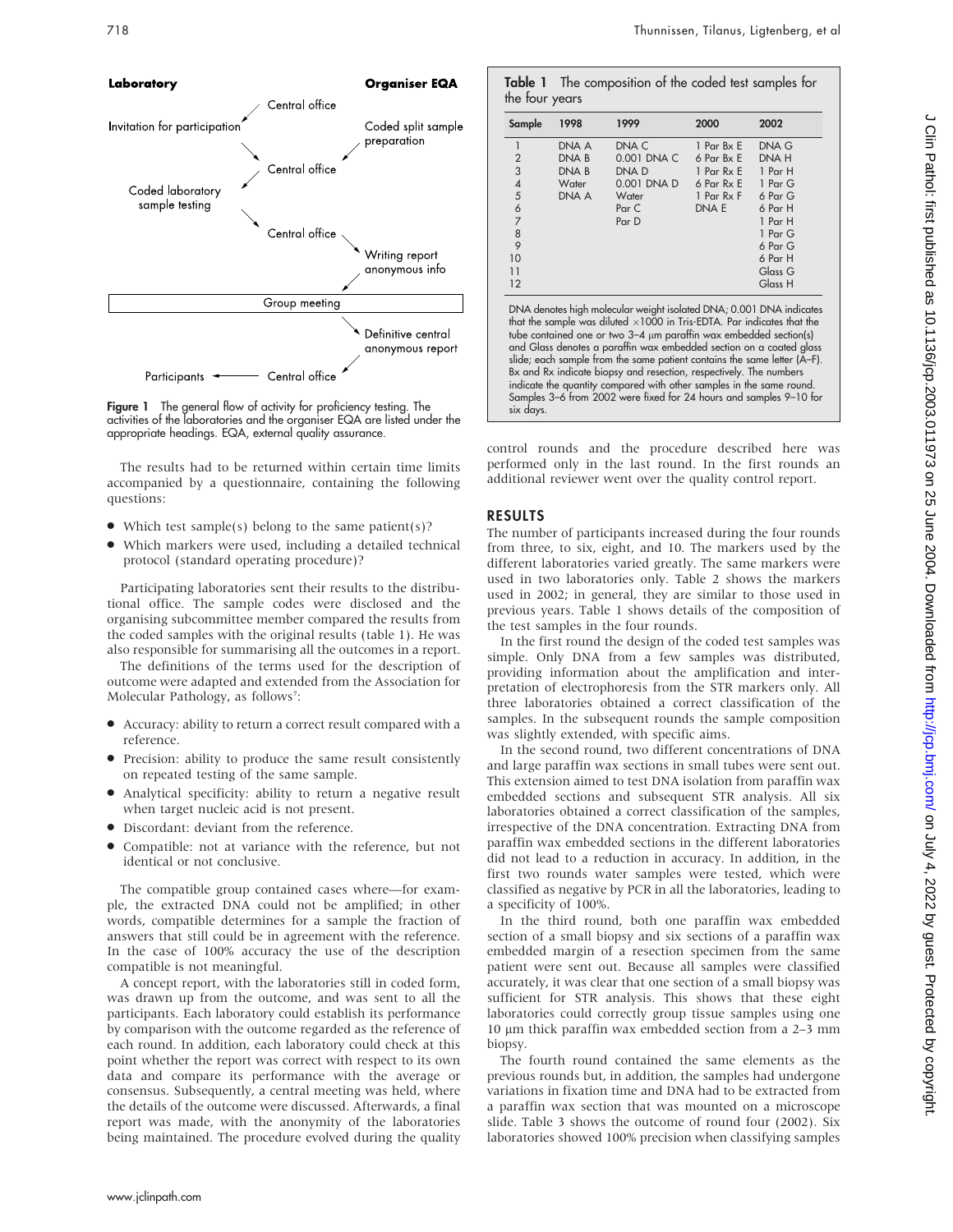



The results had to be returned within certain time limits accompanied by a questionnaire, containing the following questions:

- $\bullet$  Which test sample(s) belong to the same patient(s)?
- Which markers were used, including a detailed technical protocol (standard operating procedure)?

Participating laboratories sent their results to the distributional office. The sample codes were disclosed and the organising subcommittee member compared the results from the coded samples with the original results (table 1). He was also responsible for summarising all the outcomes in a report.

The definitions of the terms used for the description of outcome were adapted and extended from the Association for Molecular Pathology, as follows<sup>7</sup>:

- N Accuracy: ability to return a correct result compared with a reference.
- Precision: ability to produce the same result consistently on repeated testing of the same sample.
- N Analytical specificity: ability to return a negative result when target nucleic acid is not present.
- $\bullet$  Discordant: deviant from the reference.
- Compatible: not at variance with the reference, but not identical or not conclusive.

The compatible group contained cases where—for example, the extracted DNA could not be amplified; in other words, compatible determines for a sample the fraction of answers that still could be in agreement with the reference. In the case of 100% accuracy the use of the description compatible is not meaningful.

A concept report, with the laboratories still in coded form, was drawn up from the outcome, and was sent to all the participants. Each laboratory could establish its performance by comparison with the outcome regarded as the reference of each round. In addition, each laboratory could check at this point whether the report was correct with respect to its own data and compare its performance with the average or consensus. Subsequently, a central meeting was held, where the details of the outcome were discussed. Afterwards, a final report was made, with the anonymity of the laboratories being maintained. The procedure evolved during the quality

Table 1 The composition of the coded test samples for the four years

| Sample                   | 1998  | 1999        | 2000         | 2002    |
|--------------------------|-------|-------------|--------------|---------|
|                          | DNA A | DNA C       | 1 Par Bx E   | DNA G   |
| $\frac{2}{3}$            | DNA B | 0.001 DNA C | 6 Par Bx E   | DNA H   |
|                          | DNA B | DNA D       | 1 Par Rx E   | 1 Par H |
| $\overline{\mathcal{A}}$ | Water | 0.001 DNA D | $6$ Par Rx F | 1 Par G |
| 5                        | DNA A | Water       | 1 Par Rx F   | 6 Par G |
| 6                        |       | Par C       | DNA E        | 6 Par H |
| $\overline{7}$           |       | Par D       |              | 1 Par H |
| 8                        |       |             |              | 1 Par G |
| 9                        |       |             |              | 6 Par G |
| 10                       |       |             |              | 6 Par H |
| 11                       |       |             |              | Glass G |
| 12                       |       |             |              | Glass H |

DNA denotes high molecular weight isolated DNA; 0.001 DNA indicates<br>that the sample was diluted ×1000 in Tris-EDTA. Par indicates that the tube contained one or two 3-4 µm paraffin wax embedded section(s) and Glass denotes a paraffin wax embedded section on a coated glass slide; each sample from the same patient contains the same letter (A–F). Bx and Rx indicate biopsy and resection, respectively. The numbers indicate the quantity compared with other samples in the same round. Samples 3–6 from 2002 were fixed for 24 hours and samples 9–10 for six days.

control rounds and the procedure described here was performed only in the last round. In the first rounds an additional reviewer went over the quality control report.

#### RESULTS

The number of participants increased during the four rounds from three, to six, eight, and 10. The markers used by the different laboratories varied greatly. The same markers were used in two laboratories only. Table 2 shows the markers used in 2002; in general, they are similar to those used in previous years. Table 1 shows details of the composition of the test samples in the four rounds.

In the first round the design of the coded test samples was simple. Only DNA from a few samples was distributed, providing information about the amplification and interpretation of electrophoresis from the STR markers only. All three laboratories obtained a correct classification of the samples. In the subsequent rounds the sample composition was slightly extended, with specific aims.

In the second round, two different concentrations of DNA and large paraffin wax sections in small tubes were sent out. This extension aimed to test DNA isolation from paraffin wax embedded sections and subsequent STR analysis. All six laboratories obtained a correct classification of the samples, irrespective of the DNA concentration. Extracting DNA from paraffin wax embedded sections in the different laboratories did not lead to a reduction in accuracy. In addition, in the first two rounds water samples were tested, which were classified as negative by PCR in all the laboratories, leading to a specificity of 100%.

In the third round, both one paraffin wax embedded section of a small biopsy and six sections of a paraffin wax embedded margin of a resection specimen from the same patient were sent out. Because all samples were classified accurately, it was clear that one section of a small biopsy was sufficient for STR analysis. This shows that these eight laboratories could correctly group tissue samples using one 10  $\mu$ m thick paraffin wax embedded section from a 2–3 mm biopsy.

The fourth round contained the same elements as the previous rounds but, in addition, the samples had undergone variations in fixation time and DNA had to be extracted from a paraffin wax section that was mounted on a microscope slide. Table 3 shows the outcome of round four (2002). Six laboratories showed 100% precision when classifying samples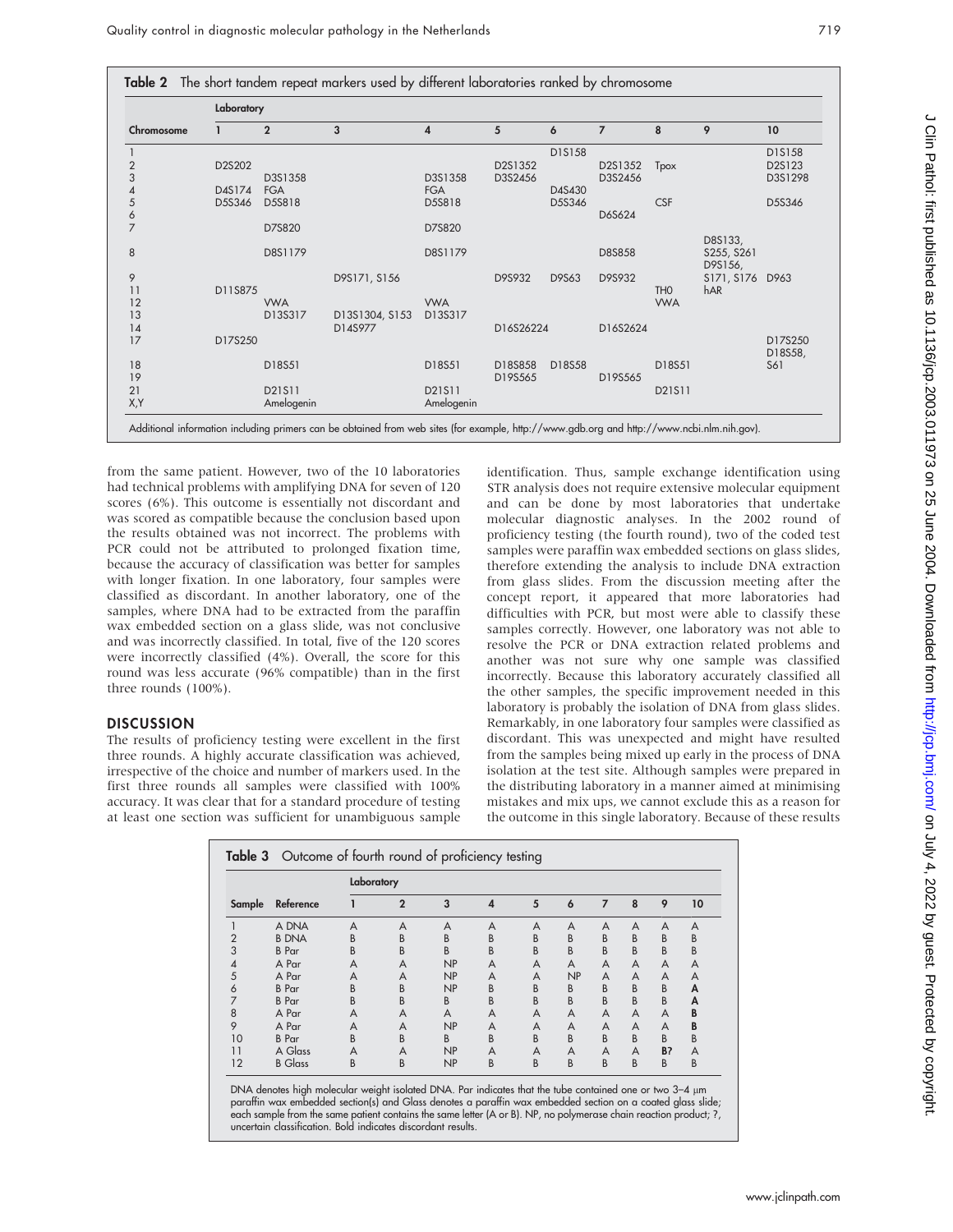|                | Laboratory |                |                |            |           |        |                |            |                 |         |  |
|----------------|------------|----------------|----------------|------------|-----------|--------|----------------|------------|-----------------|---------|--|
| Chromosome     |            | $\overline{2}$ | 3              | 4          | 5         | 6      | $\overline{7}$ | 8          | 9               | 10      |  |
|                |            |                |                |            |           | D1S158 |                |            |                 | D1S158  |  |
| $\overline{2}$ | D2S202     |                |                |            | D2S1352   |        | D2S1352        | Tpox       |                 | D2S123  |  |
| 3              |            | D3S1358        |                | D3S1358    | D3S2456   |        | D3S2456        |            |                 | D3S1298 |  |
| 4              | D4S174     | <b>FGA</b>     |                | <b>FGA</b> |           | D4S430 |                |            |                 |         |  |
| 5              | D5S346     | D5S818         |                | D5S818     |           | D5S346 |                | <b>CSF</b> |                 | D5S346  |  |
| $\frac{6}{7}$  |            |                |                |            |           |        | D6S624         |            |                 |         |  |
|                |            | D7S820         |                | D7S820     |           |        |                |            |                 |         |  |
|                |            |                |                |            |           |        |                |            | D8S133,         |         |  |
| 8              |            | D8S1179        |                | D8S1179    |           |        | D8S858         |            | S255, S261      |         |  |
|                |            |                |                |            |           |        |                |            | D9S156,         |         |  |
| 9              |            |                | D9S171, S156   |            | D9S932    | D9S63  | D9S932         |            | S171, S176 D963 |         |  |
| 11             | D11S875    |                |                |            |           |        |                | <b>THO</b> | hAR             |         |  |
| 12             |            | <b>VWA</b>     |                | <b>VWA</b> |           |        |                | <b>VWA</b> |                 |         |  |
| 13             |            | D13S317        | D13S1304, S153 | D13S317    |           |        |                |            |                 |         |  |
| 14             |            |                | D14S977        |            | D16S26224 |        | D16S2624       |            |                 |         |  |
| 17             | D17S250    |                |                |            |           |        |                |            |                 | D17S250 |  |
|                |            |                |                |            |           |        |                |            |                 | D18S58, |  |
| 18             |            | D18S51         |                | D18S51     | D18S858   | D18S58 |                | D18S51     |                 | S61     |  |
| 19             |            |                |                |            | D19S565   |        | D19S565        |            |                 |         |  |
| 21             |            | D21S11         |                | D21S11     |           |        |                | D21S11     |                 |         |  |
| X,Y            |            | Amelogenin     |                | Amelogenin |           |        |                |            |                 |         |  |

from the same patient. However, two of the 10 laboratories had technical problems with amplifying DNA for seven of 120 scores (6%). This outcome is essentially not discordant and was scored as compatible because the conclusion based upon the results obtained was not incorrect. The problems with PCR could not be attributed to prolonged fixation time, because the accuracy of classification was better for samples with longer fixation. In one laboratory, four samples were classified as discordant. In another laboratory, one of the samples, where DNA had to be extracted from the paraffin wax embedded section on a glass slide, was not conclusive and was incorrectly classified. In total, five of the 120 scores were incorrectly classified (4%). Overall, the score for this round was less accurate (96% compatible) than in the first three rounds (100%).

#### **DISCUSSION**

The results of proficiency testing were excellent in the first three rounds. A highly accurate classification was achieved, irrespective of the choice and number of markers used. In the first three rounds all samples were classified with 100% accuracy. It was clear that for a standard procedure of testing at least one section was sufficient for unambiguous sample identification. Thus, sample exchange identification using STR analysis does not require extensive molecular equipment and can be done by most laboratories that undertake molecular diagnostic analyses. In the 2002 round of proficiency testing (the fourth round), two of the coded test samples were paraffin wax embedded sections on glass slides, therefore extending the analysis to include DNA extraction from glass slides. From the discussion meeting after the concept report, it appeared that more laboratories had difficulties with PCR, but most were able to classify these samples correctly. However, one laboratory was not able to resolve the PCR or DNA extraction related problems and another was not sure why one sample was classified incorrectly. Because this laboratory accurately classified all the other samples, the specific improvement needed in this laboratory is probably the isolation of DNA from glass slides. Remarkably, in one laboratory four samples were classified as discordant. This was unexpected and might have resulted from the samples being mixed up early in the process of DNA isolation at the test site. Although samples were prepared in the distributing laboratory in a manner aimed at minimising mistakes and mix ups, we cannot exclude this as a reason for the outcome in this single laboratory. Because of these results

| Sample         | Reference      | Laboratory |                |    |   |   |              |   |   |           |                |
|----------------|----------------|------------|----------------|----|---|---|--------------|---|---|-----------|----------------|
|                |                |            | $\overline{2}$ | 3  | 4 | 5 | 6            | 7 | 8 | 9         | 10             |
|                | A DNA          | A          | A              | A  | A | A | A            | A | A | A         | A              |
| $\overline{2}$ | <b>B DNA</b>   | B          | B              | B  | B | B | B            | B | B | В         | B              |
| 3              | <b>B</b> Par   | B          | B              | B  | B | B | B            | B | B | B         | B              |
| $\overline{4}$ | A Par          | A          | A              | NP | A | A | A            | A | A | A         | A              |
| 5              | A Par          | A          | A              | NP | A | A | NP           | A | A | A         | A              |
| 6              | <b>B</b> Par   | B          | В              | NP | В | B | <sub>B</sub> | B | B | B         | A              |
| 7              | <b>B</b> Par   | B          | B              | B  | B | B | B            | B | B | B         | A              |
| 8              | A Par          | A          | A              | A  | A | A | A            | A | A | A         | B              |
| 9              | A Par          | A          | A              | NP | A | A | A            | A | A | A         | В              |
| 10             | <b>B</b> Par   | B          | B              | B  | B | B | B            | B | B | B         | B              |
| 11             | A Glass        | A          | A              | NP | A | A | A            | A | A | <b>B?</b> | $\overline{A}$ |
| 12             | <b>B</b> Glass | B          | B              | NP | B | B | B            | B | B | B         | B              |

DNA denotes high molecular weight isolated DNA. Par indicates that the tube contained one or two 3paraffin wax embedded section(s) and Glass denotes a paraffin wax embedded section on a coated glass slide; each sample from the same patient contains the same letter (A or B). NP, no polymerase chain reaction product; ?, uncertain classification. Bold indicates discordant results.